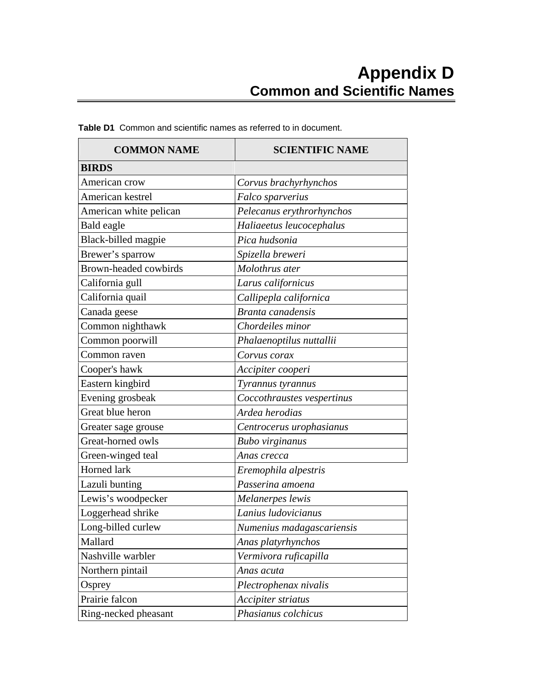| <b>COMMON NAME</b>           | <b>SCIENTIFIC NAME</b>     |
|------------------------------|----------------------------|
| <b>BIRDS</b>                 |                            |
| American crow                | Corvus brachyrhynchos      |
| American kestrel             | Falco sparverius           |
| American white pelican       | Pelecanus erythrorhynchos  |
| Bald eagle                   | Haliaeetus leucocephalus   |
| Black-billed magpie          | Pica hudsonia              |
| Brewer's sparrow             | Spizella breweri           |
| <b>Brown-headed cowbirds</b> | Molothrus ater             |
| California gull              | Larus californicus         |
| California quail             | Callipepla californica     |
| Canada geese                 | Branta canadensis          |
| Common nighthawk             | Chordeiles minor           |
| Common poorwill              | Phalaenoptilus nuttallii   |
| Common raven                 | Corvus corax               |
| Cooper's hawk                | Accipiter cooperi          |
| Eastern kingbird             | Tyrannus tyrannus          |
| Evening grosbeak             | Coccothraustes vespertinus |
| Great blue heron             | Ardea herodias             |
| Greater sage grouse          | Centrocerus urophasianus   |
| Great-horned owls            | <b>Bubo</b> virginanus     |
| Green-winged teal            | Anas crecca                |
| Horned lark                  | Eremophila alpestris       |
| Lazuli bunting               | Passerina amoena           |
| Lewis's woodpecker           | Melanerpes lewis           |
| Loggerhead shrike            | Lanius ludovicianus        |
| Long-billed curlew           | Numenius madagascariensis  |
| Mallard                      | Anas platyrhynchos         |
| Nashville warbler            | Vermivora ruficapilla      |
| Northern pintail             | Anas acuta                 |
| Osprey                       | Plectrophenax nivalis      |
| Prairie falcon               | Accipiter striatus         |
| Ring-necked pheasant         | Phasianus colchicus        |

**Table D1** Common and scientific names as referred to in document.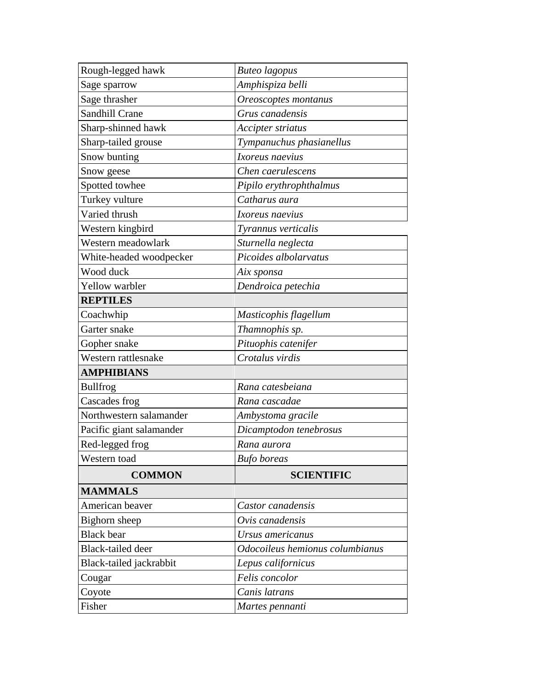| Rough-legged hawk        | <b>Buteo</b> lagopus            |  |
|--------------------------|---------------------------------|--|
| Sage sparrow             | Amphispiza belli                |  |
| Sage thrasher            | Oreoscoptes montanus            |  |
| <b>Sandhill Crane</b>    | Grus canadensis                 |  |
| Sharp-shinned hawk       | Accipter striatus               |  |
| Sharp-tailed grouse      | Tympanuchus phasianellus        |  |
| Snow bunting             | Ixoreus naevius                 |  |
| Snow geese               | Chen caerulescens               |  |
| Spotted towhee           | Pipilo erythrophthalmus         |  |
| Turkey vulture           | Catharus aura                   |  |
| Varied thrush            | Ixoreus naevius                 |  |
| Western kingbird         | Tyrannus verticalis             |  |
| Western meadowlark       | Sturnella neglecta              |  |
| White-headed woodpecker  | Picoides albolarvatus           |  |
| Wood duck                | Aix sponsa                      |  |
| <b>Yellow</b> warbler    | Dendroica petechia              |  |
| <b>REPTILES</b>          |                                 |  |
| Coachwhip                | Masticophis flagellum           |  |
| Garter snake             | Thamnophis sp.                  |  |
| Gopher snake             | Pituophis catenifer             |  |
| Western rattlesnake      | Crotalus virdis                 |  |
| <b>AMPHIBIANS</b>        |                                 |  |
| <b>Bullfrog</b>          | Rana catesbeiana                |  |
| Cascades frog            | Rana cascadae                   |  |
| Northwestern salamander  | Ambystoma gracile               |  |
| Pacific giant salamander | Dicamptodon tenebrosus          |  |
| Red-legged frog          | Rana aurora                     |  |
| Western toad             | <b>Bufo</b> boreas              |  |
| <b>COMMON</b>            | <b>SCIENTIFIC</b>               |  |
| <b>MAMMALS</b>           |                                 |  |
| American beaver          | Castor canadensis               |  |
| Bighorn sheep            | Ovis canadensis                 |  |
| <b>Black</b> bear        | Ursus americanus                |  |
| <b>Black-tailed deer</b> | Odocoileus hemionus columbianus |  |
| Black-tailed jackrabbit  | Lepus californicus              |  |
| Cougar                   | Felis concolor                  |  |
| Coyote                   | Canis latrans                   |  |
| Fisher                   | Martes pennanti                 |  |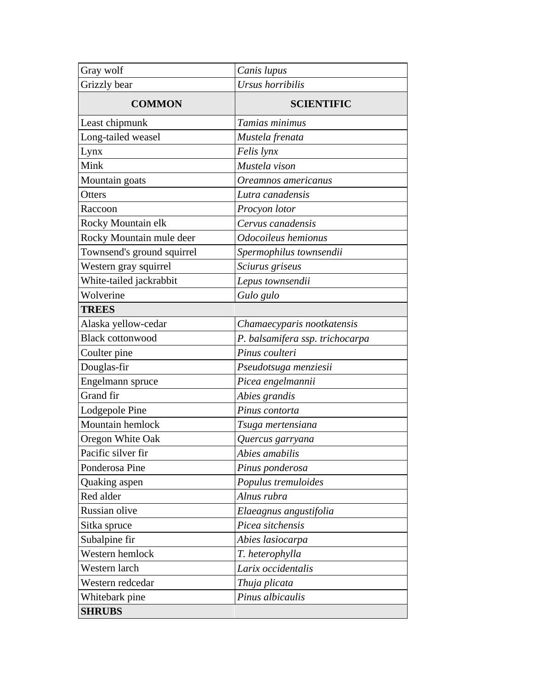| Gray wolf                  | Canis lupus                     |  |
|----------------------------|---------------------------------|--|
| Grizzly bear               | Ursus horribilis                |  |
| <b>COMMON</b>              | <b>SCIENTIFIC</b>               |  |
| Least chipmunk             | Tamias minimus                  |  |
| Long-tailed weasel         | Mustela frenata                 |  |
| Lynx                       | Felis lynx                      |  |
| Mink                       | Mustela vison                   |  |
| Mountain goats             | Oreamnos americanus             |  |
| Otters                     | Lutra canadensis                |  |
| Raccoon                    | Procyon lotor                   |  |
| Rocky Mountain elk         | Cervus canadensis               |  |
| Rocky Mountain mule deer   | Odocoileus hemionus             |  |
| Townsend's ground squirrel | Spermophilus townsendii         |  |
| Western gray squirrel      | Sciurus griseus                 |  |
| White-tailed jackrabbit    | Lepus townsendii                |  |
| Wolverine                  | Gulo gulo                       |  |
| <b>TREES</b>               |                                 |  |
| Alaska yellow-cedar        | Chamaecyparis nootkatensis      |  |
| <b>Black cottonwood</b>    | P. balsamifera ssp. trichocarpa |  |
| Coulter pine               | Pinus coulteri                  |  |
| Douglas-fir                | Pseudotsuga menziesii           |  |
| Engelmann spruce           | Picea engelmannii               |  |
| Grand fir                  | Abies grandis                   |  |
| Lodgepole Pine             | Pinus contorta                  |  |
| Mountain hemlock           | Tsuga mertensiana               |  |
| Oregon White Oak           | Quercus garryana                |  |
| Pacific silver fir         | Abies amabilis                  |  |
| Ponderosa Pine             | Pinus ponderosa                 |  |
| Quaking aspen              | Populus tremuloides             |  |
| Red alder                  | Alnus rubra                     |  |
| Russian olive              | Elaeagnus angustifolia          |  |
| Sitka spruce               | Picea sitchensis                |  |
| Subalpine fir              | Abies lasiocarpa                |  |
| Western hemlock            | T. heterophylla                 |  |
| Western larch              | Larix occidentalis              |  |
| Western redcedar           | Thuja plicata                   |  |
| Whitebark pine             | Pinus albicaulis                |  |
| <b>SHRUBS</b>              |                                 |  |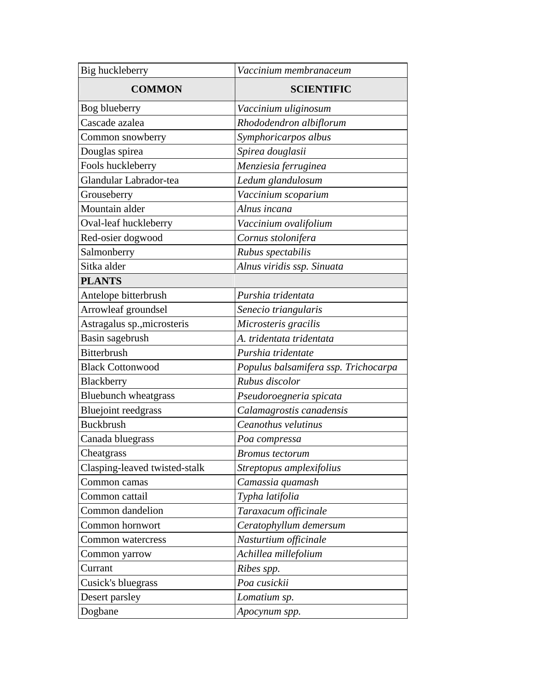| Big huckleberry               | Vaccinium membranaceum               |
|-------------------------------|--------------------------------------|
| <b>COMMON</b>                 | <b>SCIENTIFIC</b>                    |
| Bog blueberry                 | Vaccinium uliginosum                 |
| Cascade azalea                | Rhododendron albiflorum              |
| Common snowberry              | Symphoricarpos albus                 |
| Douglas spirea                | Spirea douglasii                     |
| Fools huckleberry             | Menziesia ferruginea                 |
| Glandular Labrador-tea        | Ledum glandulosum                    |
| Grouseberry                   | Vaccinium scoparium                  |
| Mountain alder                | Alnus incana                         |
| Oval-leaf huckleberry         | Vaccinium ovalifolium                |
| Red-osier dogwood             | Cornus stolonifera                   |
| Salmonberry                   | Rubus spectabilis                    |
| Sitka alder                   | Alnus viridis ssp. Sinuata           |
| <b>PLANTS</b>                 |                                      |
| Antelope bitterbrush          | Purshia tridentata                   |
| Arrowleaf groundsel           | Senecio triangularis                 |
| Astragalus sp., microsteris   | Microsteris gracilis                 |
| Basin sagebrush               | A. tridentata tridentata             |
| <b>Bitterbrush</b>            | Purshia tridentate                   |
| <b>Black Cottonwood</b>       | Populus balsamifera ssp. Trichocarpa |
| Blackberry                    | Rubus discolor                       |
| <b>Bluebunch</b> wheatgrass   | Pseudoroegneria spicata              |
| <b>Bluejoint reedgrass</b>    | Calamagrostis canadensis             |
| <b>Buckbrush</b>              | Ceanothus velutinus                  |
| Canada bluegrass              | Poa compressa                        |
| Cheatgrass                    | <b>Bromus</b> tectorum               |
| Clasping-leaved twisted-stalk | Streptopus amplexifolius             |
| Common camas                  | Camassia quamash                     |
| Common cattail                | Typha latifolia                      |
| Common dandelion              | Taraxacum officinale                 |
| Common hornwort               | Ceratophyllum demersum               |
| Common watercress             | Nasturtium officinale                |
| Common yarrow                 | Achillea millefolium                 |
| Currant                       | Ribes spp.                           |
| Cusick's bluegrass            | Poa cusickii                         |
| Desert parsley                | Lomatium sp.                         |
| Dogbane                       | Apocynum spp.                        |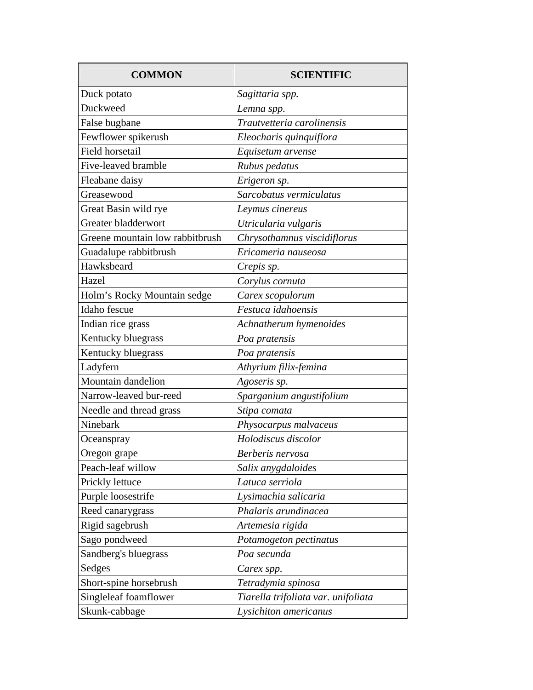| <b>COMMON</b>                   | <b>SCIENTIFIC</b>                   |
|---------------------------------|-------------------------------------|
| Duck potato                     | Sagittaria spp.                     |
| Duckweed                        | Lemna spp.                          |
| False bugbane                   | Trautvetteria carolinensis          |
| Fewflower spikerush             | Eleocharis quinquiflora             |
| Field horsetail                 | Equisetum arvense                   |
| Five-leaved bramble             | Rubus pedatus                       |
| Fleabane daisy                  | Erigeron sp.                        |
| Greasewood                      | Sarcobatus vermiculatus             |
| Great Basin wild rye            | Leymus cinereus                     |
| Greater bladderwort             | Utricularia vulgaris                |
| Greene mountain low rabbitbrush | Chrysothamnus viscidiflorus         |
| Guadalupe rabbitbrush           | Ericameria nauseosa                 |
| Hawksbeard                      | Crepis sp.                          |
| Hazel                           | Corylus cornuta                     |
| Holm's Rocky Mountain sedge     | Carex scopulorum                    |
| Idaho fescue                    | Festuca idahoensis                  |
| Indian rice grass               | Achnatherum hymenoides              |
| Kentucky bluegrass              | Poa pratensis                       |
| Kentucky bluegrass              | Poa pratensis                       |
| Ladyfern                        | Athyrium filix-femina               |
| Mountain dandelion              | Agoseris sp.                        |
| Narrow-leaved bur-reed          | Sparganium angustifolium            |
| Needle and thread grass         | Stipa comata                        |
| Ninebark                        | Physocarpus malvaceus               |
| Oceanspray                      | Holodiscus discolor                 |
| Oregon grape                    | Berberis nervosa                    |
| Peach-leaf willow               | Salix anygdaloides                  |
| Prickly lettuce                 | Latuca serriola                     |
| Purple loosestrife              | Lysimachia salicaria                |
| Reed canarygrass                | Phalaris arundinacea                |
| Rigid sagebrush                 | Artemesia rigida                    |
| Sago pondweed                   | Potamogeton pectinatus              |
| Sandberg's bluegrass            | Poa secunda                         |
| Sedges                          | Carex spp.                          |
| Short-spine horsebrush          | Tetradymia spinosa                  |
| Singleleaf foamflower           | Tiarella trifoliata var. unifoliata |
| Skunk-cabbage                   | Lysichiton americanus               |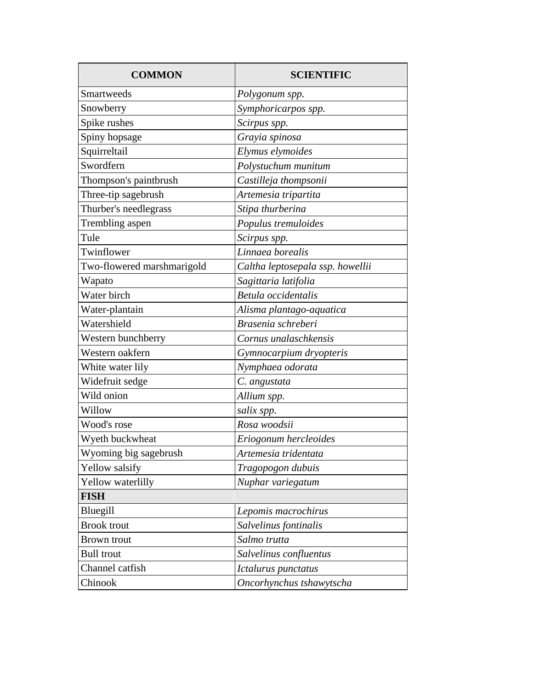| <b>COMMON</b>              | <b>SCIENTIFIC</b>                |
|----------------------------|----------------------------------|
| Smartweeds                 | Polygonum spp.                   |
| Snowberry                  | Symphoricarpos spp.              |
| Spike rushes               | Scirpus spp.                     |
| Spiny hopsage              | Grayia spinosa                   |
| Squirreltail               | Elymus elymoides                 |
| Swordfern                  | Polystuchum munitum              |
| Thompson's paintbrush      | Castilleja thompsonii            |
| Three-tip sagebrush        | Artemesia tripartita             |
| Thurber's needlegrass      | Stipa thurberina                 |
| Trembling aspen            | Populus tremuloides              |
| Tule                       | Scirpus spp.                     |
| Twinflower                 | Linnaea borealis                 |
| Two-flowered marshmarigold | Caltha leptosepala ssp. howellii |
| Wapato                     | Sagittaria latifolia             |
| Water birch                | Betula occidentalis              |
| Water-plantain             | Alisma plantago-aquatica         |
| Watershield                | Brasenia schreberi               |
| Western bunchberry         | Cornus unalaschkensis            |
| Western oakfern            | Gymnocarpium dryopteris          |
| White water lily           | Nymphaea odorata                 |
| Widefruit sedge            | C. angustata                     |
| Wild onion                 | Allium spp.                      |
| Willow                     | salix spp.                       |
| Wood's rose                | Rosa woodsii                     |
| Wyeth buckwheat            | Eriogonum hercleoides            |
| Wyoming big sagebrush      | Artemesia tridentata             |
| Yellow salsify             | Tragopogon dubuis                |
| Yellow waterlilly          | Nuphar variegatum                |
| <b>FISH</b>                |                                  |
| Bluegill                   | Lepomis macrochirus              |
| <b>Brook</b> trout         | Salvelinus fontinalis            |
| <b>Brown</b> trout         | Salmo trutta                     |
| <b>Bull</b> trout          | Salvelinus confluentus           |
| Channel catfish            | Ictalurus punctatus              |
| Chinook                    | Oncorhynchus tshawytscha         |